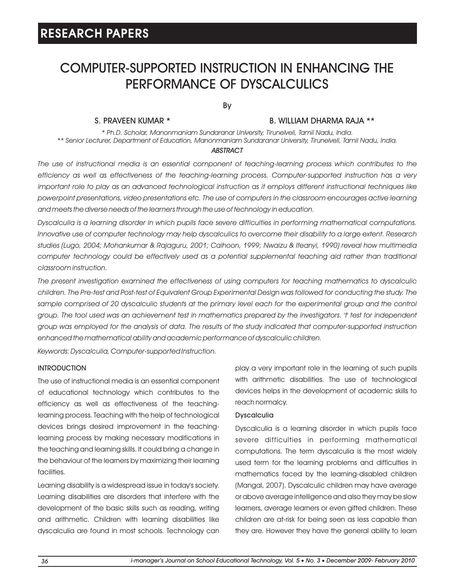# COMPUTER-SUPPORTED INSTRUCTION IN ENHANCING THE PERFORMANCE OF DYSCALCULICS

By

## S. PRAVEEN KUMAR \*

### B. WILLIAM DHARMA RAJA \*\*

*\* Ph.D. Scholar, Manonmaniam Sundaranar University, Tirunelveli, Tamil Nadu, India. \*\* Senior Lecturer, Department of Education, Manonmaniam Sundaranar University, Tirunelveli, Tamil Nadu, India.*

### *ABSTRACT*

*The use of instructional media is an essential component of teaching-learning process which contributes to the efficiency as well as effectiveness of the teaching-learning process. Computer-supported instruction has a very important role to play as an advanced technological instruction as it employs different instructional techniques like powerpoint presentations, video presentations etc. The use of computers in the classroom encourages active learning and meets the diverse needs of the learners through the use of technology in education.*

*Dyscalculia is a learning disorder in which pupils face severe difficulties in performing mathematical computations. Innovative use of computer technology may help dyscalculics to overcome their disability to a large extent. Research studies (Lugo, 2004; Mohankumar & Rajaguru, 2001; Calhoon, 1999; Nwaizu & Ifeanyi, 1990) reveal how multimedia*  computer technology could be effectively used as a potential supplemental teaching aid rather than traditional *classroom instruction.*

*The present investigation examined the effectiveness of using computers for teaching mathematics to dyscalculic children. The Pre-test and Post-test of Equivalent Group Experimental Design was followed for conducting the study. The*  sample comprised of 20 dyscalculic students at the primary level each for the experimental group and the control *group. The tool used was an achievement test in mathematics prepared by the investigators. 't' test for independent group was employed for the analysis of data. The results of the study indicated that computer-supported instruction enhanced the mathematical ability and academic performance of dyscalculic children.*

*Keywords: Dyscalculia, Computer-supported Instruction.*

## **INTRODUCTION**

The use of instructional media is an essential component of educational technology which contributes to the efficiency as well as effectiveness of the teachinglearning process. Teaching with the help of technological devices brings desired improvement in the teachinglearning process by making necessary modifications in the teaching and learning skills. It could bring a change in the behaviour of the learners by maximizing their learning facilities.

Learning disability is a widespread issue in today's society. Learning disabilities are disorders that interfere with the development of the basic skills such as reading, writing and arithmetic. Children with learning disabilities like dyscalculia are found in most schools. Technology can play a very important role in the learning of such pupils with arithmetic disabilities. The use of technological devices helps in the development of academic skills to reach normalcy.

## **Dyscalculia**

Dyscalculia is a learning disorder in which pupils face severe difficulties in performing mathematical computations. The term dyscalculia is the most widely used term for the learning problems and difficulties in mathematics faced by the learning-disabled children (Mangal, 2007). Dyscalculic children may have average or above average intelligence and also they may be slow learners, average learners or even gifted children. These children are at-risk for being seen as less capable than they are. However they have the general ability to learn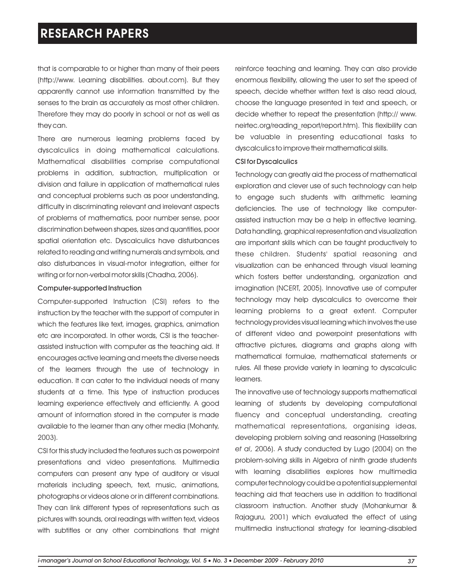that is comparable to or higher than many of their peers (http://www. Learning disabilities. about.com). But they apparently cannot use information transmitted by the senses to the brain as accurately as most other children. Therefore they may do poorly in school or not as well as they can.

There are numerous learning problems faced by dyscalculics in doing mathematical calculations. Mathematical disabilities comprise computational problems in addition, subtraction, multiplication or division and failure in application of mathematical rules and conceptual problems such as poor understanding, difficulty in discriminating relevant and irrelevant aspects of problems of mathematics, poor number sense, poor discrimination between shapes, sizes and quantities, poor spatial orientation etc. Dyscalculics have disturbances related to reading and writing numerals and symbols, and also disturbances in visual-motor integration, either for writing or for non-verbal motor skills (Chadha, 2006).

#### Computer-supported Instruction

Computer-supported Instruction (CSI) refers to the instruction by the teacher with the support of computer in which the features like text, images, graphics, animation etc are incorporated. In other words, CSI is the teacherassisted instruction with computer as the teaching aid. It encourages active learning and meets the diverse needs of the learners through the use of technology in education. It can cater to the individual needs of many students at a time. This type of instruction produces learning experience effectively and efficiently. A good amount of information stored in the computer is made available to the learner than any other media (Mohanty, 2003).

CSI for this study included the features such as powerpoint presentations and video presentations. Multimedia computers can present any type of auditory or visual materials including speech, text, music, animations, photographs or videos alone or in different combinations. They can link different types of representations such as pictures with sounds, oral readings with written text, videos with subtitles or any other combinations that might reinforce teaching and learning. They can also provide enormous flexibility, allowing the user to set the speed of speech, decide whether written text is also read aloud, choose the language presented in text and speech, or decide whether to repeat the presentation (http:// www. neirtec.org/reading\_report/report.htm). This flexibility can be valuable in presenting educational tasks to dyscalculics to improve their mathematical skills.

### CSI for Dyscalculics

Technology can greatly aid the process of mathematical exploration and clever use of such technology can help to engage such students with arithmetic learning deficiencies. The use of technology like computerassisted instruction may be a help in effective learning. Data handling, graphical representation and visualization are important skills which can be taught productively to these children. Students' spatial reasoning and visualization can be enhanced through visual learning which fosters better understanding, organization and imagination (NCERT, 2005). Innovative use of computer technology may help dyscalculics to overcome their learning problems to a great extent. Computer technology provides visual learning which involves the use of different video and powerpoint presentations with attractive pictures, diagrams and graphs along with mathematical formulae, mathematical statements or rules. All these provide variety in learning to dyscalculic learners.

The innovative use of technology supports mathematical learning of students by developing computational fluency and conceptual understanding, creating mathematical representations, organising ideas, developing problem solving and reasoning (Hasselbring *et al*, 2006). A study conducted by Lugo (2004) on the problem-solving skills in Algebra of ninth grade students with learning disabilities explores how multimedia computer technology could be a potential supplemental teaching aid that teachers use in addition to traditional classroom instruction. Another study (Mohankumar & Rajaguru, 2001) which evaluated the effect of using multimedia instructional strategy for learning-disabled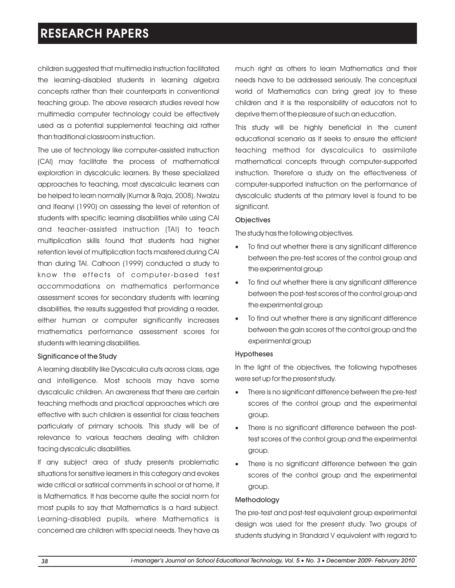children suggested that multimedia instruction facilitated the learning-disabled students in learning algebra concepts rather than their counterparts in conventional teaching group. The above research studies reveal how multimedia computer technology could be effectively used as a potential supplemental teaching aid rather than traditional classroom instruction.

The use of technology like computer-assisted instruction (CAI) may facilitate the process of mathematical exploration in dyscalculic learners. By these specialized approaches to teaching, most dyscalculic learners can be helped to learn normally (Kumar & Raja, 2008). Nwaizu and Ifeanyi (1990) on assessing the level of retention of students with specific learning disabilities while using CAI and teacher-assisted instruction (TAI) to teach multiplication skills found that students had higher retention level of multiplication facts mastered during CAI than during TAI. Calhoon (1999) conducted a study to know the effects of computer-based test accommodations on mathematics performance assessment scores for secondary students with learning disabilities, the results suggested that providing a reader, either human or computer significantly increases mathematics performance assessment scores for students with learning disabilities.

## Significance of the Study

A learning disability like Dyscalculia cuts across class, age and intelligence. Most schools may have some dyscalculic children. An awareness that there are certain teaching methods and practical approaches which are effective with such children is essential for class teachers particularly of primary schools. This study will be of relevance to various teachers dealing with children facing dyscalculic disabilities.

If any subject area of study presents problematic situations for sensitive learners in this category and evokes wide critical or satirical comments in school or at home, it is Mathematics. It has become quite the social norm for most pupils to say that Mathematics is a hard subject. Learning-disabled pupils, where Mathematics is concerned are children with special needs. They have as much right as others to learn Mathematics and their needs have to be addressed seriously. The conceptual world of Mathematics can bring great joy to these children and it is the responsibility of educators not to deprive them of the pleasure of such an education.

This study will be highly beneficial in the current educational scenario as it seeks to ensure the efficient teaching method for dyscalculics to assimilate mathematical concepts through computer-supported instruction. Therefore a study on the effectiveness of computer-supported instruction on the performance of dyscalculic students at the primary level is found to be significant.

## **Objectives**

The study has the following objectives.

- To find out whether there is any significant difference · between the pre-test scores of the control group and the experimental group
- To find out whether there is any significant difference · between the post-test scores of the control group and the experimental group
- To find out whether there is any significant difference · between the gain scores of the control group and the experimental group

#### Hypotheses

In the light of the objectives, the following hypotheses were set up for the present study.

- There is no significant difference between the pre-test · scores of the control group and the experimental group.
- There is no significant difference between the posttest scores of the control group and the experimental group.
- There is no significant difference between the gain scores of the control group and the experimental group.

## Methodology

The pre-test and post-test equivalent group experimental design was used for the present study. Two groups of students studying in Standard V equivalent with regard to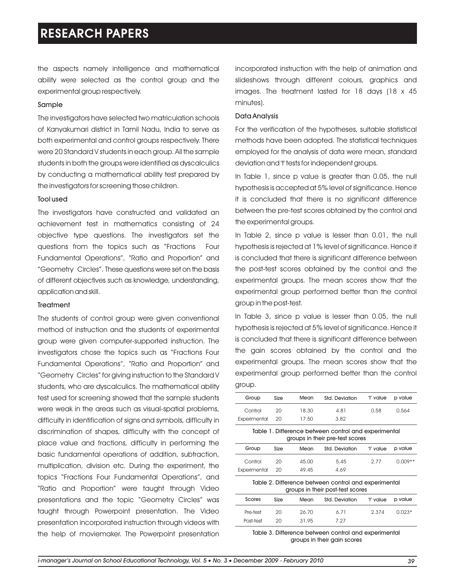the aspects namely intelligence and mathematical ability were selected as the control group and the experimental group respectively.

#### Sample

The investigators have selected two matriculation schools of Kanyakumari district in Tamil Nadu, India to serve as both experimental and control groups respectively. There were 20 Standard V students in each group. All the sample students in both the groups were identified as dyscalculics by conducting a mathematical ability test prepared by the investigators for screening those children.

#### Tool used

The investigators have constructed and validated an achievement test in mathematics consisting of 24 objective type questions. The investigators set the questions from the topics such as "Fractions Four Fundamental Operations", "Ratio and Proportion" and "Geometry Circles". These questions were set on the basis of different objectives such as knowledge, understanding, application and skill.

#### **Treatment**

The students of control group were given conventional method of instruction and the students of experimental group were given computer-supported instruction. The investigators chose the topics such as "Fractions Four Fundamental Operations", "Ratio and Proportion" and "Geometry Circles" for giving instruction to the Standard V students, who are dyscalculics. The mathematical ability test used for screening showed that the sample students were weak in the areas such as visual-spatial problems, difficulty in identification of signs and symbols, difficulty in discrimination of shapes, difficulty with the concept of place value and fractions, difficulty in performing the basic fundamental operations of addition, subtraction, multiplication, division etc. During the experiment, the topics "Fractions Four Fundamental Operations", and "Ratio and Proportion" were taught through Video presentations and the topic "Geometry Circles" was taught through Powerpoint presentation. The Video presentation incorporated instruction through videos with the help of moviemaker. The Powerpoint presentation incorporated instruction with the help of animation and slideshows through different colours, graphics and images. The treatment lasted for 18 days (18 x 45 minutes).

#### Data Analysis

For the verification of the hypotheses, suitable statistical methods have been adopted. The statistical techniques employed for the analysis of data were mean, standard deviation and 't' tests for independent groups.

In Table 1, since p value is greater than 0.05, the null hypothesis is accepted at 5% level of significance. Hence it is concluded that there is no significant difference between the pre-test scores obtained by the control and the experimental groups.

In Table 2, since p value is lesser than 0.01, the null hypothesis is rejected at 1% level of significance. Hence it is concluded that there is significant difference between the post-test scores obtained by the control and the experimental groups. The mean scores show that the experimental group performed better than the control group in the post-test.

In Table 3, since p value is lesser than 0.05, the null hypothesis is rejected at 5% level of significance. Hence it is concluded that there is significant difference between the gain scores obtained by the control and the experimental groups. The mean scores show that the experimental group performed better than the control group.

| Group                                                                                    | Size | Mean  | Std. Deviation | 't' value | p value   |
|------------------------------------------------------------------------------------------|------|-------|----------------|-----------|-----------|
| Control                                                                                  | 20   | 18.30 | 4.81           | 0.58      | 0.564     |
| Experimental                                                                             | 20   | 17.50 | 3.82           |           |           |
| Table 1. Difference between control and experimental<br>groups in their pre-test scores  |      |       |                |           |           |
| Group                                                                                    | Size | Mean  | Std. Deviation | 't' value | p value   |
| Control                                                                                  | 20   | 45.00 | 5.45           | 2.77      | $0.009**$ |
| Experimental                                                                             | 20   | 49.45 | 4.69           |           |           |
| Table 2. Difference between control and experimental<br>groups in their post-test scores |      |       |                |           |           |
| Scores                                                                                   | Size | Mean  | Std. Deviation | 't' value | p value   |
| Pre-test                                                                                 | 20   | 26.70 | 6.71           | 2.374     | $0.023*$  |
| Post-test                                                                                | 20   | 31.95 | 7.27           |           |           |
|                                                                                          |      |       |                |           |           |

Table 3. Difference between control and experimental groups in their gain scores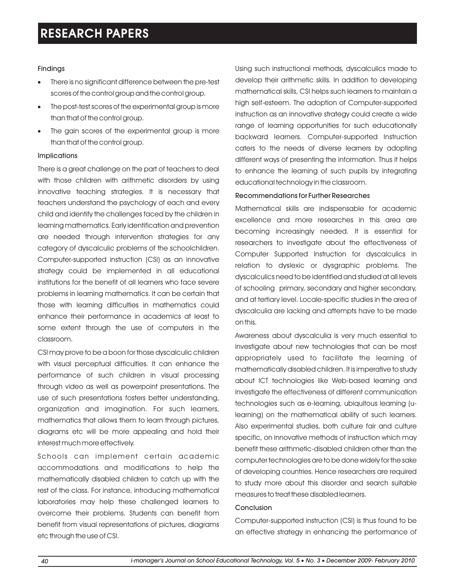## Findings

- There is no significant difference between the pre-test · scores of the control group and the control group.
- The post-test scores of the experimental group is more · than that of the control group.
- The gain scores of the experimental group is more than that of the control group.

## Implications

There is a great challenge on the part of teachers to deal with those children with arithmetic disorders by using innovative teaching strategies. It is necessary that teachers understand the psychology of each and every child and identify the challenges faced by the children in learning mathematics. Early identification and prevention are needed through intervention strategies for any category of dyscalculic problems of the schoolchildren. Computer-supported instruction (CSI) as an innovative strategy could be implemented in all educational institutions for the benefit of all learners who face severe problems in learning mathematics. It can be certain that those with learning difficulties in mathematics could enhance their performance in academics at least to some extent through the use of computers in the classroom.

CSI may prove to be a boon for those dyscalculic children with visual perceptual difficulties. It can enhance the performance of such children in visual processing through video as well as powerpoint presentations. The use of such presentations fosters better understanding, organization and imagination. For such learners, mathematics that allows them to learn through pictures, diagrams etc will be more appealing and hold their interest much more effectively.

Schools can implement certain academic accommodations and modifications to help the mathematically disabled children to catch up with the rest of the class. For instance, introducing mathematical laboratories may help these challenged learners to overcome their problems. Students can benefit from benefit from visual representations of pictures, diagrams etc through the use of CSI.

Using such instructional methods, dyscalculics made to develop their arithmetic skills. In addition to developing mathematical skills, CSI helps such learners to maintain a high self-esteem. The adoption of Computer-supported instruction as an innovative strategy could create a wide range of learning opportunities for such educationally backward learners. Computer-supported Instruction caters to the needs of diverse learners by adopting different ways of presenting the information. Thus it helps to enhance the learning of such pupils by integrating educational technology in the classroom.

## Recommendations for Further Researches

Mathematical skills are indispensable for academic excellence and more researches in this area are becoming increasingly needed. It is essential for researchers to investigate about the effectiveness of Computer Supported Instruction for dyscalculics in relation to dyslexic or dysgraphic problems. The dyscalculics need to be identified and studied at all levels of schooling primary, secondary and higher secondary, and at tertiary level. Locale-specific studies in the area of dyscalculia are lacking and attempts have to be made on this.

Awareness about dyscalculia is very much essential to investigate about new technologies that can be most appropriately used to facilitate the learning of mathematically disabled children. It is imperative to study about ICT technologies like Web-based learning and investigate the effectiveness of different communication technologies such as e-learning, ubiquitous learning (ulearning) on the mathematical ability of such learners. Also experimental studies, both culture fair and culture specific, on innovative methods of instruction which may benefit these arithmetic-disabled children other than the computer technologies are to be done widely for the sake of developing countries. Hence researchers are required to study more about this disorder and search suitable measures to treat these disabled learners.

## Conclusion

Computer-supported instruction (CSI) is thus found to be an effective strategy in enhancing the performance of